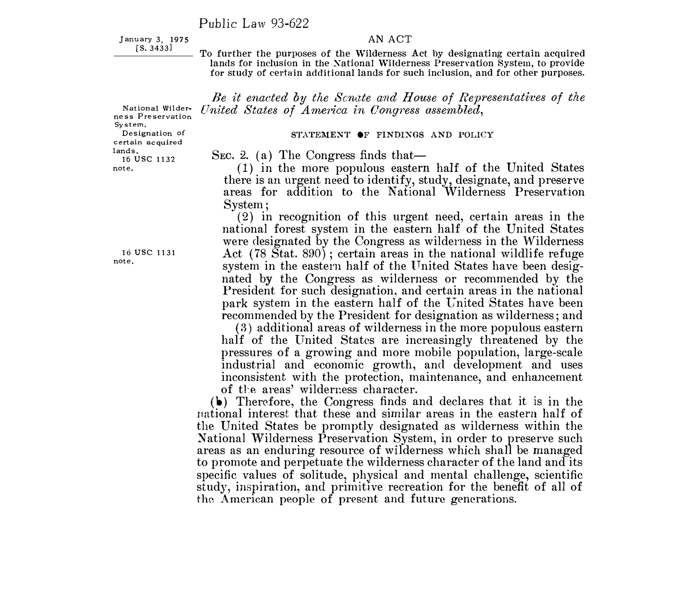January **3, 1975**

### [S.3433)

To further the purposes of the Wilderness Act by designating certain acquired lands for inclusion in the Xational Wilderness Preservation System, to provide

for study of certain additional lands for such inclusion, and for other purposes.

*Be it enacted by the Scnate and House of Representatives of the United States of Anwrica in Congress assembled,* 

AN ACT

### STATEMENT OF FINDINGS AND POLICY

SEC. 2. (a) The Congress finds that—

( 1) in the more populous eastern half of the United States there is an urgent need to identify, study, designate, and preserve areas for addition to the National Wilderness Preservation System;

(2) in recognition of this urgent need, certain areas in the national forest system in the eastern half of the United States were designated by the Congress as wilderness in the Wilderness Act (78 Stat. 890); certain areas in the national wildlife refuge system in the eastern half of the United States have been designated by the Congress as wilderness or recommended by the President for such designation, and certain areas in the national park system in the eastern half of the United States have been recommended by the President for designation as wilderness; and

(3) additional areas of wilderness in the more populous eastern half of the United States are increasingly threatened by the pressures of a growing and more mobile population, large-scale industrial and economic growth, and development and uses inconsistent with the protection, maintenance, and enhancement of the areas' wilderness character.

(b) Therefore, the Congress finds and declares that it is in the national interest that these and similar areas in the eastern half of the United States be promptly designated as wilderness within the National Wilderness Preservation System, in order to preserve such areas as an enduring resource of wilderness which shall be managed to promote and perpetuate the wilderness character of the land and its specific values of solitude, physical and mental challenge, scientific study, inspiration, and primitive recreation for the benefit of all of the American people of present and future generations.

**National Wilder ... ness Preservation System, Designation of certain acquired lands.**  16 use 1132 **note.** 

16 use 1131 **note,**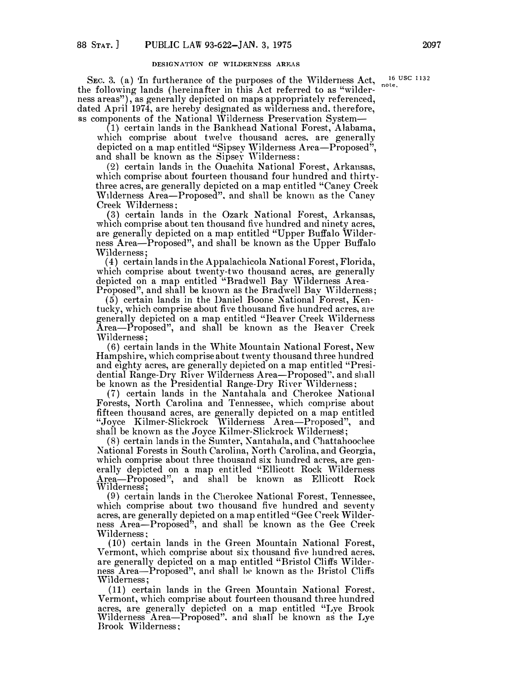SEC. 3. (a) In furtherance of the purposes of the Wilderness Act,  $\frac{16}{\text{note}}$ . the following lands (hereinafter in this Act referred to as "wilderness areas"), as generally depicted on maps appropriately referenced, dated April 1974, are hereby designated as wilderness and, therefore, as components of the National Wilderness Preservation System-

(1) certain lands in the Bankhead National Forest, Alabama, which comprise about twelve thousand acres, are generally depicted on a map entitled "Sipsey Wilderness Area-Proposed", and shall be known as the Sipsey Wilderness:

(2) certain lands in the Ouachita National Forest, Arkansas, which comprise about fourteen thousand four hundred and thirtythree acres, are generally depicted on a map entitled "Caney Creek Wilderness Area-Proposed", and shall be known as the Caney Creek Wilderness;

(3) certain lands in the Ozark National Forest, Arkansas, which comprise about ten thousand five hundred and ninety acres, are generally depicted on a map entitled "Upper Buffalo Wilderness Area-Proposed", and shall be known as the Upper Buffalo Wilderness;

(4) certain lands inthe Appalachicola National Forest, Florida, which comprise about twenty-two thousand acres, are generally depicted on a map entitled "Bradwell Bay Wilderness Area-Proposed", and shall be known as the Bradwell Bay Wilderness;

 $(5)$  certain lands in the Daniel Boone National Forest, Kentucky, which comprise about five thousand five hundred acres, are generally depicted on a map entitled "Beaver Creek Wilderness Area-Proposed", and shall be known as the Beaver Creek Wilderness;

(6) certain lands in the White Mountain National Forest, New Hampshire, which comprise about twenty thousand three hundred and eighty acres, are generally depicted on a map entitled "Presidential Range-Dry River Wilderness Area-Proposed", and shall be known as the Presidential Range-Dry River Wilderness;

(7) certain lands in the Nantahala and Cherokee National Forests, North Carolina and Tennessee, which comprise about fifteen thousand acres, are generally depicted on a map entitled "Joyce Kilmer-Slickrock Wilderness Area-Proposed", and shall be known as the Joyce Kilmer-Slickrock Wilderness;

(8) certain lands in the Sumter, Xantahala, and Chattahoochee National Forests in South Carolina, North Carolina, and Georgia, which comprise about three thousand six hundred acres, are generally depicted on a map entitled "Ellicott Rock Wilderness" Area-Proposed", and shall be known as Ellicott Rock Wilderness;

(9) certain lands in the Cherokee National Forest, Tennessee, which comprise about two thousand five hundred and seventy acres, are generally depicted on a map entitled "Gee Creek Wilderness Area-Proposed", and shall be known as the Gee Creek Wilderness;

(10) certain lands in the Green Mountain National Forest, Vermont, which comprise about six thousand five hundred acres, are generally depicted on a map entitled "Bristol Cliffs Wilderness Area-Proposed", and shall be known as the Bristol Cliffs Wilderness;

(11) certain lands in the Green Mountain National Forest, Vermont, which comprise about fourteen thousand three hundred acres, are generally depicted on a map entitled "Lye Brook Wilderness Area-Proposed", and shall be known as the Lye Brook Wilderness;

**16 use 1132**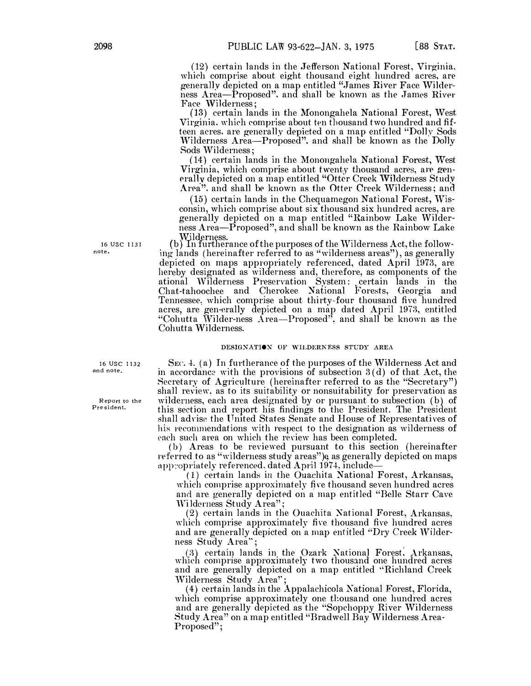*(*12) certain lands in the ,Tefferson National Forest, Virginia, which comprise about eight thousand eight hundred acres, are generally depicted on a map entitled "James River Face Wilderness Area-Proposed", and shall be known as the James River

Face Wilderness;<br> (13) certain lands in the Monongahela National Forest, West Virginia, which comprise about ten thousand two hundred and fifteen acres, are genera11y depicted on a map entitled "Dolly Sods Wilderness Area-Proposed", and shall be known as the Dolly Sods Wilderness;

(14) certain lands in the Monongahela National Forest, West Virginia, which comprise about twenty thousand acres, are generally depicted on a map entitled "Otter Creek 1Vilderness Study Area". and shall he known as the Otter Creek Wilderness; and

(15) certain lands in the Chequamegon National Forest, Wisconsin, which comprise about six thousand six hundred acres, are generally depicted on a map entitled "Rainbow Lake Wilderness Area-Proposed", and shall be known as the Rainbow Lake

Wilderness.<br>(b) In furtherance of the purposes of the Wilderness Act, the following lands ( hereinafter referred to as "wilderness areas"), as generally depicted on maps appropriately referenced, dated April 1973, are hereby designated as wilderness and, therefore, as components of the ational 1Vilderness Preservation System: certain lands in the Chat-tahoochee and Cherokee National Forests, Georgia and Tennessee, which comprise about thirty-four thousand five hundred acres, are gen-erally depicted on a map dated April 1973, entitled "Cohutta Wilder-ness  $\hat{A}$ rea-Proposed", and shall be known as the Cohutta Wilderness.

# **DESIGXATIOX OF WILDERNESS STuDY AREA**

 $S_{EC. 4. (a)}$  In furtherance of the purposes of the Wilderness Act and in accordance with the provisions of subsection  $3(d)$  of that Act, the Secretary of Agriculture (hereinafter referred to as the "Secretary") shall review, as to its suitability or nonsuitability for preservation as wilderness, each area designated by or pursuant to subsection (b) of this section and report his findings to the President. The President shall advise the United States Senate and House of Representatives of his recommendations with respect to the designation as wilderness of each such area on which the review has been completed.

*(* b) Areas to be reviewed pursuant to this section (hereinafter referred to as "wilderness study areas")e, as generally depicted on maps app::opriately referenced. dated April 1974, include—

( I) certain lands in the Ouachita National Forest, Arkansas, which comprise approximately five thousand seven hundred acres and are generally depicted on a map entitled "Belle Starr Cave lVilderness Study Area";

(2) certain lands in the Ouachita Xational Forest, Arkansas, which comprise approximately five thousand five hundred acres and are generally depicted on a map entitled "Dry Creek Wilderness Study Area";

Un certain lands in the Ozark X ational Forest. Arkansas, which comprise approximately two thousand one hundred acres and are generally depicted on a map entitled "Richland Creek Wilderness Study Area";<br>(4) certain lands in the Appalachicola National Forest, Florida,

which comprise approximately one thousand one hundred acres and are generally depicted as the "Sopchoppy River Wilderness Study Area" on a map entitled "Bradwell Bay Wilderness Area-Proposed";

16 USC 1131 **note<sup>a</sup>**

16 USC 1132 **and note.** 

**Report to the President.**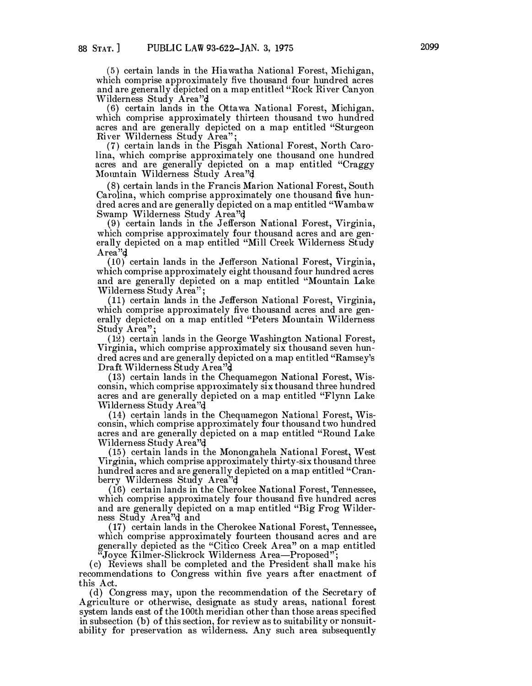( 5) certain lands in the Hiawatha National Forest, Michigan, which comprise approximately five thousand four hundred acres and are generally depicted on a map entitled "Rock River Canyon Wilderness Study Area"d

(6) certain lands in the Ottawa National Forest, Michigan, which comprise approximately thirteen thousand two hundred acres and are generally depicted on a map entitled "Sturgeon River Wilderness Study Area";

(7 ) certain lands in the Pisgah National Forest, North Carolina, which comprise approximately one thousand one hundred acres and are generally depicted on a map entitled "Craggy Mountain Wilderness Study Area"d

(8) certain lands in the Francis Marion National Forest, South Carolina, which comprise approximately one thousand five hundred acres and are generally depicted on a map entitled "Wambaw Swamp Wilderness Study Area"d;

 $(9)$  certain lands in the Jefferson National Forest, Virginia, which comprise approximately four thousand acres and are generally depicted on a map entitled "Mill Creek Wilderness Study Area"d;

(10 ) certain lands in the Jefferson National Forest, Virginia, which comprise approximately eight thousand four hundred acres and are generally depicted on a map entitled "Mountain Lake Wilderness Study Area" ;

(11) certain lands in the Jefferson National Forest, Virginia, which comprise approximately five thousand acres and are generally depicted on a map entitled "Peters Mountain Wilderness Study Area";

 $(12)$  certain lands in the George Washington National Forest, Virginia, which comprise approximately six thousand seven hundred acres and are generally depicted on a map entitled "Ramsey's Draft Wilderness Study Area"d;

(13) certain lands in the Chequamegon National Forest, Wisconsin, which comprise approximately six thousand three hundred acres and are generally depicted on a map entitled "Flynn Lake Wilderness Study Area"d

(14) certain lands in the Cheqnamegon National Forest, Wisconsin, which comprise approximately four thousand two hundred acres and are generally depicted on a map entitled "Round Lake Wilderness Study Area"d

(15 ) certain lands in the Monongahela National Forest, West Virginia, which comprise approximately thirty-six thousand three hundred acres and are generally depicted on a map entitled "Cranberry Wilderness Study Area"d;

(16) certain lands in the Cherokee National Forest, Tennessee, which comprise approximately four thousand five hundred acres and are generally depicted on a map entitled "Big Frog Wilderness Study Area"d; and

( 17) certain lands in the Cherokee National Forest, Tennessee, which comprise approximately fourteen thousand acres and are generally depicted as the "Citico Creek Area" on a map entitled "Joyce Kilmer-Slickrock Wilderness Area-Proposed";

( c) Reviews shall be completed and the President shall make his recommendations to Congress within five years after enactment of this Act.

(d) Congress may, upon the recommendation of the Secretary of Agriculture or otherwise, desi **gn**ate as study areas, national forest system lands east of the 100th meridian other than those areas specified in subsection (b) of this section, for review as to suitability or nonsuitability for preservation as wilderness. Any such area subsequently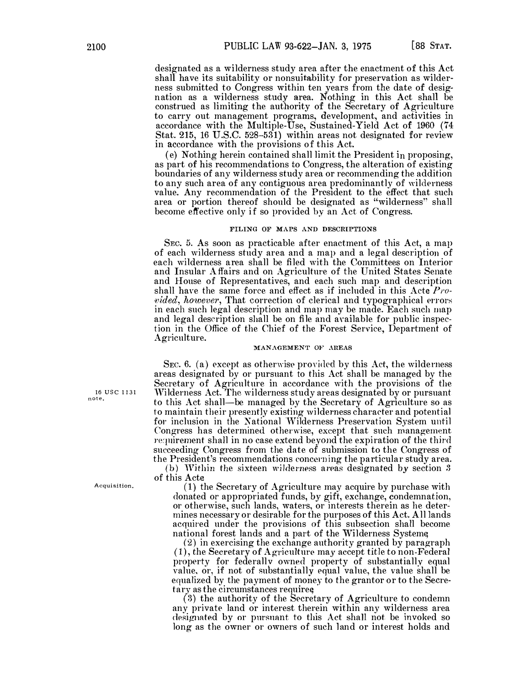designated as a wilderness study area after the enactment of this Act shall have its suitability or nonsuitability for preservation as wilderness submitted to Congress within ten years from the date of designation as a wilderness study area. Nothing in this Act shall be construed as limiting the authority of the Secretary of Agriculture to carry out management programs, development, and activities in accordance with the Multiple-Use, Sustained-Yield Act of 1960 (74 Stat. 215, 16 U.S.C. 528-531) within areas not designated for review in accordance with the provisions of this Act.

( e) Nothing herein contained shall limit the President in proposing, boundaries of any wilderness study area or recommending the addition to any such area of any contiguous area predominantly of wilderness value. Any recommendation of the President to the effect that such area or portion thereof should be designated as "wilderness" sha11 become effective only if so provided by an Act of Congress.

### **FILING OF MAPS AND DESCRIPTIONS**

SEc. 5. As soon as practicable after enactment of this Act, a map of each wilderness study area and a map and a legal description of each wilderness area shall be filed with the Committees on Interior and Insular Affairs and on Agriculture of the United States Senate and House of Representatives, and each such map and description shall have the same force and effect as if included in this Acte  $Pro$ *vided, however,* That correction of clerical and typographical errors in each such legal description and map may be made. Each such map and legal description shall be on file and available for public inspection in the Office of the Chief of the Forest Service, Department of Agriculture.

# **MANAGEMENT OF AREAS**

SEC. 6. (a) except as otherwise provided by this Act, the wilderness areas designated by or pursuant to this Act shall be managed by the Secretary of Agriculture in accordance with the provisions of the Wilderness Act. The wilderness study areas designated by or pursuant to this Act shall-be managed by the Secretary of Agriculture so as to maintain their presently existing wilderness character and potential for inclusion in the National Wilderness Preservation System until Congress has determined otherwise, except that such management requirement shall in no case extend beyond the expiration of the third succeeding Congress from the date of submission to the Congress of the President's recommendations eonceming the particular study area.

(b) Within the sixteen wilderness areas designated by section  $3$ of this Acte:

(1) the Secretary of Agriculture may acquire by purchase with donated or appropriated funds, by gift, exchange, condemnation, or otherwise, such lands, waters, or interests therein as he determines necessary or desirable for the purposes of this Act. All lands acquired under the provisions of this subsection shall become national forest lands and a part of the Wilderness Systeme

(2) in exercising the exchange authority granted by paragraph (1), the Secretary of Agriculture may accept title to non-Federal property for federallv owned property of substantially equal value, or, if not of substantially equal value, the value shall be equalized by the payment of money to the grantor or to the Secre-

tary as the circumstances requiree;<br>(3) the authority of the Secretary of Agriculture to condemn any private land or interest therein within any wilderness area designated by or pursuant to this Act shall not be invoked so long as the owner or owners of such land or interest holds and

16 USC 1131 note.

**Acquisition.**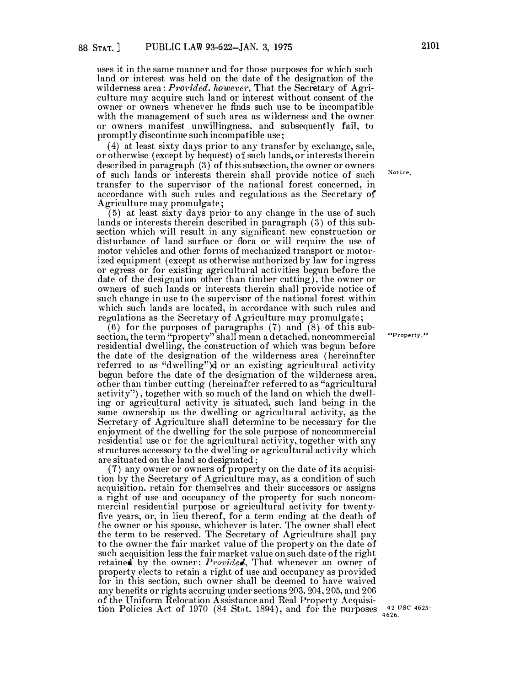nses it in the same manner and for those purposes for which snch land or interest was held on the date of the designation of the wilderness area: *Provided, however*, That the Secretary of Agriculture may acquire such land or interest without consent of the owner or owners whenever he finds such use to be incompatible with the management of such area as wilderness and the owner or owners manifest unwillingness, and subsequently fail, to promptly discontinue such incompatible use ;

(4) at least sixty days prior to any transfer by exchange, sale, or otherwise ( except by bequest) of such lands, or interests therein described in paragraph (3) of this subsection, the owner or owners of such lands or interests therein shall provide notice of such transfer to the supervisor of the national forest concerned, in accordance with such rules and regulations as the Secretary of Agriculture may promulgate ;

 $(5)$  at least sixty days prior to any change in the use of such lands or interests therein described in paragraph (3) of this subsection which will result in any significant new construction or disturbance of land surface or flora or will require the use of motor vehicles and other forms of mechanized transport or motorized equipment ( except as otherwise authorized by law for ingress or egress or for existing agricultural activities begun before the date of the designation other than timber cutting), the owner or owners of such lands or interests therein shall provide notice of such change in use to the supervisor of the national forest within which such lands are located, in accordance with such rules and regulations as the Secretary of Agriculture may promulgate;

 $(6)$  for the purposes of paragraphs (7) and  $(8)$  of this subsection, the term "property" shall mean a detached. noncommercial residential dwelling, the construction of which was begun before the date of the designation of the wilderness area (hereinafter referred to as "dwelling")d or an existing agricultural activity begun before the date of the designation of the wilderness area, other than timber cutting (hereinafter referred to as "agricultural activity''), together with so much of the land on which the dwelling or agricultural activity is situated, such land being in the same ownership as the dwelling or agricultural activity, as the Secretary of Agriculture shall determine to be necessary for the enjoyment of the dwelling for the sole purpose of noncommercial residential use or for the agricultural activity, together with any structures accessory to the dwelling or agricultural activity which

are situated on the land so designated;<br>(7) any owner or owners of property on the date of its acquisition by the Secretary of Agriculture may, as a condition of such acquisition, retain for themselves and their successors or assigns a right of use and occupancy of the property for such noncom-<br>mercial residential purpose or agricultural activity for twentyfive years, or, in lieu thereof, for a term ending at the death of the owner or his spouse, whichever is later. The owner shall elect the term to be reserved. The Secretary of Agriculture shall pay to the owner the fair market value of the property on the date of such acquisition less the fair market value on such date of the right retained by the owner: Provided, That whenever an owner of property elects to retain a right of use and occupancy as provided for in this section, such owner shall be deemed to have waived any benefits or rights accruing under sections 203. 204, 205, and 206 tion Policies Act of 1970 (84 Stat. 1894), and for the purposes **Notice.** 

**"Property ."** 

**42 use 4623- 4626.**